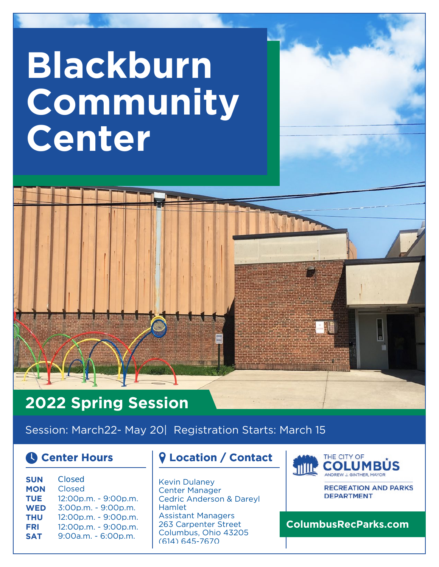# **Blackburn Community Center**

## **2022 Spring Session**

Session: March22- May 20| Registration Starts: March 15

| <b>SUN</b> | Closed               |
|------------|----------------------|
| <b>MON</b> | Closed               |
| TUE        | 12:00p.m. - 9:00p.m. |
| <b>WED</b> | 3:00p.m. - 9:00p.m.  |
| THU        | 12:00p.m. - 9:00p.m. |
| <b>FRI</b> | 12:00p.m. - 9:00p.m. |
| <b>SAT</b> | 9:00a.m. - 6:00p.m.  |
|            |                      |

#### **Center Hours Location / Contact**

Kevin Dulaney Center Manager Cedric Anderson & Dareyl Hamlet Assistant Managers 263 Carpenter Street Columbus, Ohio 43205 (614) 645-7670



**RECREATION AND PARKS DEPARTMENT** 

**ColumbusRecParks.com**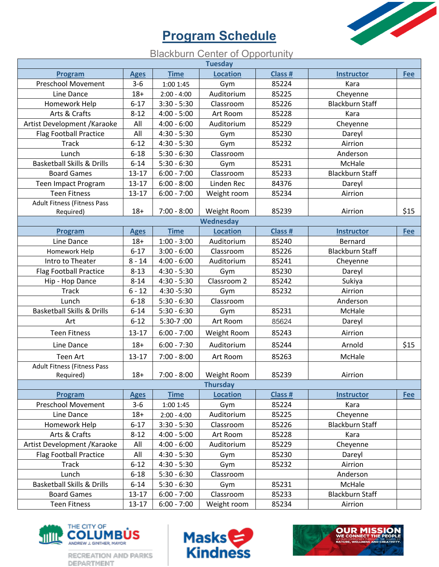### **Program Schedule**



#### **Blackburn Center of Opportunity**

|                                       |             |               | <b>Tuesday</b>  |                |                        |      |
|---------------------------------------|-------------|---------------|-----------------|----------------|------------------------|------|
| Program                               | <b>Ages</b> | <b>Time</b>   | <b>Location</b> | <b>Class #</b> | <b>Instructor</b>      | Fee  |
| <b>Preschool Movement</b>             | $3 - 6$     | 1:00 1:45     | Gym             | 85224          | Kara                   |      |
| Line Dance                            | $18 +$      | $2:00 - 4:00$ | Auditorium      | 85225          | Cheyenne               |      |
| Homework Help                         | $6 - 17$    | $3:30 - 5:30$ | Classroom       | 85226          | <b>Blackburn Staff</b> |      |
| Arts & Crafts                         | $8 - 12$    | $4:00 - 5:00$ | Art Room        | 85228          | Kara                   |      |
| Artist Development / Karaoke          | All         | $4:00 - 6:00$ | Auditorium      | 85229          | Cheyenne               |      |
| <b>Flag Football Practice</b>         | All         | $4:30 - 5:30$ | Gym             | 85230          | Dareyl                 |      |
| <b>Track</b>                          | $6 - 12$    | $4:30 - 5:30$ | Gym             | 85232          | Airrion                |      |
| Lunch                                 | $6 - 18$    | $5:30 - 6:30$ | Classroom       |                | Anderson               |      |
| <b>Basketball Skills &amp; Drills</b> | $6 - 14$    | $5:30 - 6:30$ | Gym             | 85231          | McHale                 |      |
| <b>Board Games</b>                    | $13 - 17$   | $6:00 - 7:00$ | Classroom       | 85233          | <b>Blackburn Staff</b> |      |
| Teen Impact Program                   | $13 - 17$   | $6:00 - 8:00$ | Linden Rec      | 84376          | Dareyl                 |      |
| <b>Teen Fitness</b>                   | $13 - 17$   | $6:00 - 7:00$ | Weight room     | 85234          | Airrion                |      |
| <b>Adult Fitness (Fitness Pass</b>    |             |               |                 |                |                        |      |
| Required)                             | $18 +$      | $7:00 - 8:00$ | Weight Room     | 85239          | Airrion                | \$15 |
|                                       |             |               | Wednesday       |                |                        |      |
| Program                               | <b>Ages</b> | <b>Time</b>   | <b>Location</b> | Class #        | <b>Instructor</b>      | Fee  |
| Line Dance                            | $18+$       | $1:00 - 3:00$ | Auditorium      | 85240          | Bernard                |      |
| Homework Help                         | $6 - 17$    | $3:00 - 6:00$ | Classroom       | 85226          | <b>Blackburn Staff</b> |      |
| Intro to Theater                      | $8 - 14$    | $4:00 - 6:00$ | Auditorium      | 85241          | Cheyenne               |      |
| <b>Flag Football Practice</b>         | $8 - 13$    | $4:30 - 5:30$ | Gym             | 85230          | Dareyl                 |      |
| Hip - Hop Dance                       | $8 - 14$    | $4:30 - 5:30$ | Classroom 2     | 85242          | Sukiya                 |      |
| <b>Track</b>                          | $6 - 12$    | 4:30 - 5:30   | Gym             | 85232          | Airrion                |      |
| Lunch                                 | $6 - 18$    | $5:30 - 6:30$ | Classroom       |                | Anderson               |      |
| <b>Basketball Skills &amp; Drills</b> | $6 - 14$    | $5:30 - 6:30$ | Gym             | 85231          | McHale                 |      |
| Art                                   | $6 - 12$    | $5:30-7:00$   | Art Room        | 85624          | Dareyl                 |      |
| <b>Teen Fitness</b>                   | $13 - 17$   | $6:00 - 7:00$ | Weight Room     | 85243          | Airrion                |      |
| Line Dance                            | $18+$       | $6:00 - 7:30$ | Auditorium      | 85244          | Arnold                 | \$15 |
| Teen Art                              | $13 - 17$   | $7:00 - 8:00$ | Art Room        | 85263          | McHale                 |      |
| <b>Adult Fitness (Fitness Pass</b>    |             |               |                 |                |                        |      |
| Required)                             | $18+$       | $7:00 - 8:00$ | Weight Room     | 85239          | Airrion                |      |
|                                       |             |               | <b>Thursday</b> |                |                        |      |
| Program                               | <b>Ages</b> | <b>Time</b>   | <b>Location</b> | Class #        | <b>Instructor</b>      | Fee  |
| <b>Preschool Movement</b>             | $3 - 6$     | 1:00 1:45     | Gym             | 85224          | Kara                   |      |
| Line Dance                            | $18+$       | $2:00 - 4:00$ | Auditorium      | 85225          | Cheyenne               |      |
| Homework Help                         | $6 - 17$    | $3:30 - 5:30$ | Classroom       | 85226          | <b>Blackburn Staff</b> |      |
| Arts & Crafts                         | $8 - 12$    | $4:00 - 5:00$ | Art Room        | 85228          | Kara                   |      |
| Artist Development / Karaoke          | All         | $4:00 - 6:00$ | Auditorium      | 85229          | Cheyenne               |      |
| <b>Flag Football Practice</b>         | All         | $4:30 - 5:30$ | Gym             | 85230          | Dareyl                 |      |
| <b>Track</b>                          | $6 - 12$    | $4:30 - 5:30$ | Gym             | 85232          | Airrion                |      |
| Lunch                                 | $6 - 18$    | $5:30 - 6:30$ | Classroom       |                | Anderson               |      |
| <b>Basketball Skills &amp; Drills</b> | $6 - 14$    | $5:30 - 6:30$ | Gym             | 85231          | McHale                 |      |
| <b>Board Games</b>                    | $13 - 17$   | $6:00 - 7:00$ | Classroom       | 85233          | <b>Blackburn Staff</b> |      |
| <b>Teen Fitness</b>                   | $13 - 17$   | $6:00 - 7:00$ | Weight room     | 85234          | Airrion                |      |



DEPARTMENT



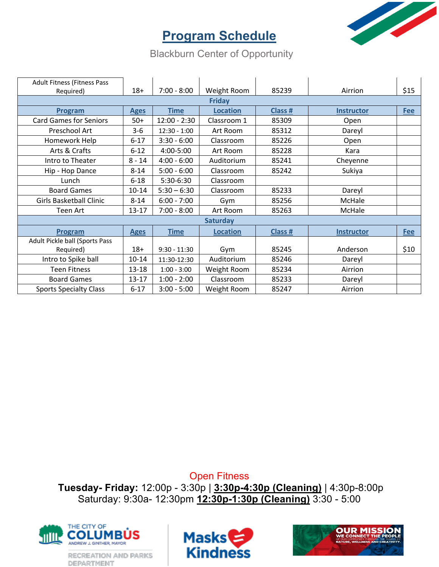

#### **Program Schedule**

Blackburn Center of Opportunity

| <b>Adult Fitness (Fitness Pass</b> |             |                |                 |         |                   |            |  |
|------------------------------------|-------------|----------------|-----------------|---------|-------------------|------------|--|
| Required)                          | $18+$       | $7:00 - 8:00$  | Weight Room     | 85239   | Airrion           | \$15       |  |
| <b>Friday</b>                      |             |                |                 |         |                   |            |  |
| Program                            | <b>Ages</b> | <b>Time</b>    | <b>Location</b> | Class # | <b>Instructor</b> | <b>Fee</b> |  |
| <b>Card Games for Seniors</b>      | $50+$       | $12:00 - 2:30$ | Classroom 1     | 85309   | Open              |            |  |
| Preschool Art                      | $3-6$       | $12:30 - 1:00$ | Art Room        | 85312   | Dareyl            |            |  |
| Homework Help                      | $6 - 17$    | $3:30 - 6:00$  | Classroom       | 85226   | Open              |            |  |
| Arts & Crafts                      | $6 - 12$    | 4:00-5:00      | Art Room        | 85228   | Kara              |            |  |
| Intro to Theater                   | $8 - 14$    | $4:00 - 6:00$  | Auditorium      | 85241   | Cheyenne          |            |  |
| Hip - Hop Dance                    | $8 - 14$    | $5:00 - 6:00$  | Classroom       | 85242   | Sukiya            |            |  |
| Lunch                              | $6 - 18$    | 5:30-6:30      | Classroom       |         |                   |            |  |
| <b>Board Games</b>                 | $10 - 14$   | $5:30 - 6:30$  | Classroom       | 85233   | Dareyl            |            |  |
| <b>Girls Basketball Clinic</b>     | $8 - 14$    | $6:00 - 7:00$  | Gym             | 85256   | McHale            |            |  |
| Teen Art                           | $13 - 17$   | $7:00 - 8:00$  | Art Room        | 85263   | McHale            |            |  |
| <b>Saturday</b>                    |             |                |                 |         |                   |            |  |
| Program                            | <b>Ages</b> | <b>Time</b>    | <b>Location</b> | Class # | <b>Instructor</b> | <b>Fee</b> |  |
| Adult Pickle ball (Sports Pass     |             |                |                 |         |                   |            |  |
| Required)                          | $18+$       | $9:30 - 11:30$ | Gym             | 85245   | Anderson          | \$10       |  |
| Intro to Spike ball                | $10 - 14$   | 11:30-12:30    | Auditorium      | 85246   | Dareyl            |            |  |
| <b>Teen Fitness</b>                | 13-18       | $1:00 - 3:00$  | Weight Room     | 85234   | Airrion           |            |  |
| <b>Board Games</b>                 | $13 - 17$   | $1:00 - 2:00$  | Classroom       | 85233   | Dareyl            |            |  |
| <b>Sports Specialty Class</b>      | $6 - 17$    | $3:00 - 5:00$  | Weight Room     | 85247   | Airrion           |            |  |

Open Fitness

**Tuesday- Friday:** 12:00p - 3:30p | **3:30p-4:30p (Cleaning)** | 4:30p-8:00p Saturday: 9:30a- 12:30pm **12:30p-1:30p (Cleaning)** 3:30 - 5:00